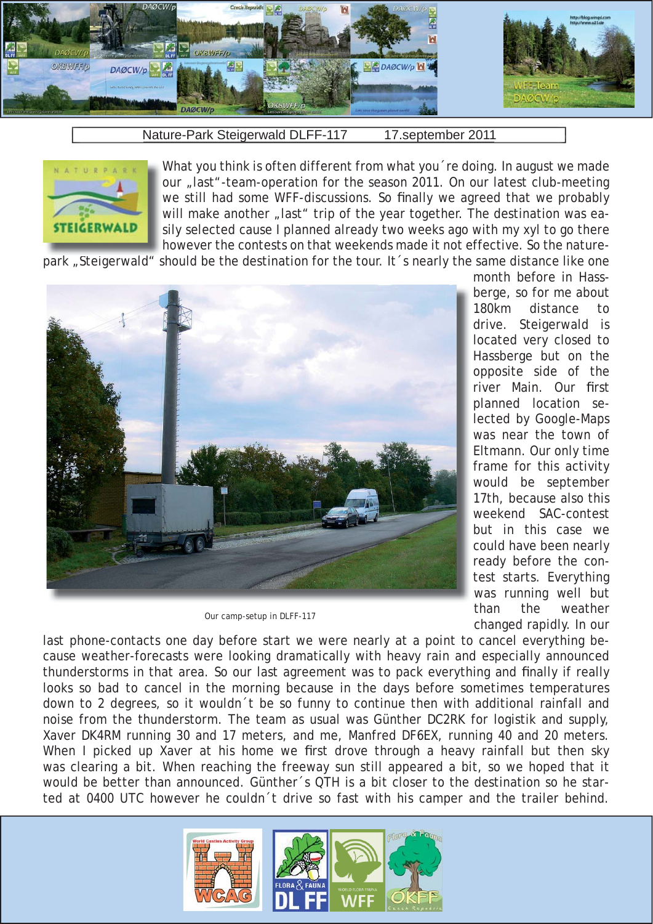

Nature-Park Steigerwald DLFF-117 17.september 2011

What you think is often different from what you 're doing. In august we made our "last"-team-operation for the season 2011. On our latest club-meeting we still had some WFF-discussions. So finally we agreed that we probably will make another "last" trip of the year together. The destination was easily selected cause I planned already two weeks ago with my xyl to go there however the contests on that weekends made it not effective. So the nature-

park "Steigerwald" should be the destination for the tour. It 's nearly the same distance like one



Our camp-setup in DLFF-117

month before in Hassberge, so for me about 180km distance to drive. Steigerwald is located very closed to Hassberge but on the opposite side of the river Main. Our first planned location selected by Google-Maps was near the town of Eltmann. Our only time frame for this activity would be september 17th, because also this weekend SAC-contest but in this case we could have been nearly ready before the contest starts. Everything was running well but than the weather changed rapidly. In our

last phone-contacts one day before start we were nearly at a point to cancel everything because weather-forecasts were looking dramatically with heavy rain and especially announced thunderstorms in that area. So our last agreement was to pack everything and finally if really looks so bad to cancel in the morning because in the days before sometimes temperatures down to 2 degrees, so it wouldn´t be so funny to continue then with additional rainfall and noise from the thunderstorm. The team as usual was Günther DC2RK for logistik and supply, Xaver DK4RM running 30 and 17 meters, and me, Manfred DF6EX, running 40 and 20 meters. When I picked up Xaver at his home we first drove through a heavy rainfall but then sky was clearing a bit. When reaching the freeway sun still appeared a bit, so we hoped that it would be better than announced. Günther´s QTH is a bit closer to the destination so he started at 0400 UTC however he couldn´t drive so fast with his camper and the trailer behind.

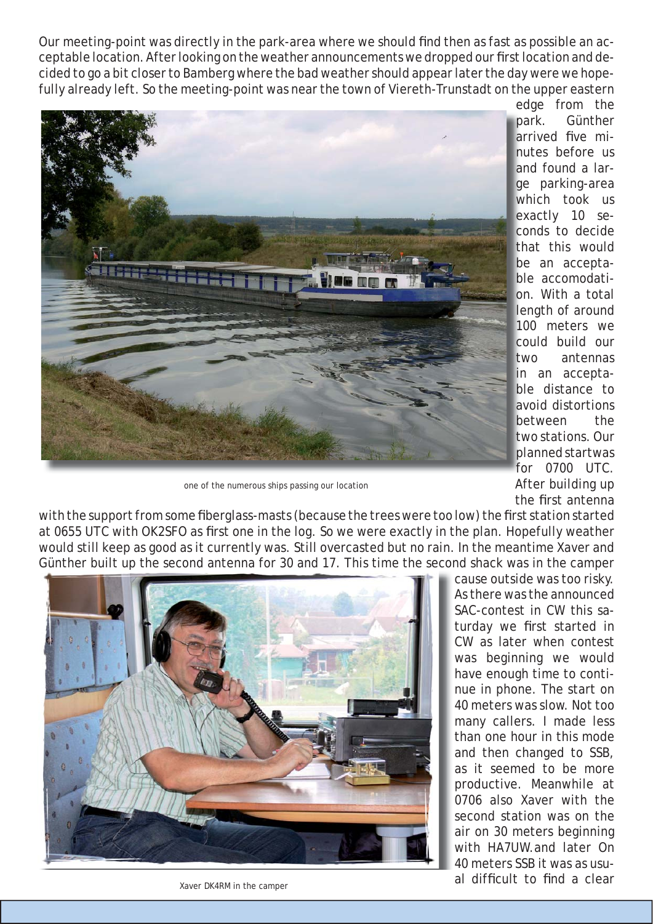Our meeting-point was directly in the park-area where we should find then as fast as possible an acceptable location. After looking on the weather announcements we dropped our first location and decided to go a bit closer to Bamberg where the bad weather should appear later the day were we hopefully already left. So the meeting-point was near the town of Viereth-Trunstadt on the upper eastern edge from the



ge parking-area which took us exactly 10 seconds to decide that this would be an acceptable accomodation. With a total length of around 100 meters we could build our two antennas in an acceptable distance to avoid distortions between the two stations. Our planned startwas for 0700 UTC. After building up the first antenna

arrived five minutes before us and found a lar-

one of the numerous ships passing our location

with the support from some fiberglass-masts (because the trees were too low) the first station started at 0655 UTC with OK2SFO as first one in the log. So we were exactly in the plan. Hopefully weather would still keep as good as it currently was. Still overcasted but no rain. In the meantime Xaver and Günther built up the second antenna for 30 and 17. This time the second shack was in the camper



cause outside was too risky. As there was the announced SAC-contest in CW this saturday we first started in CW as later when contest was beginning we would have enough time to continue in phone. The start on 40 meters was slow. Not too many callers. I made less than one hour in this mode and then changed to SSB, as it seemed to be more productive. Meanwhile at 0706 also Xaver with the second station was on the air on 30 meters beginning with HA7UW.and later On 40 meters SSB it was as usual difficult to find a clear

Xaver DK4RM in the camper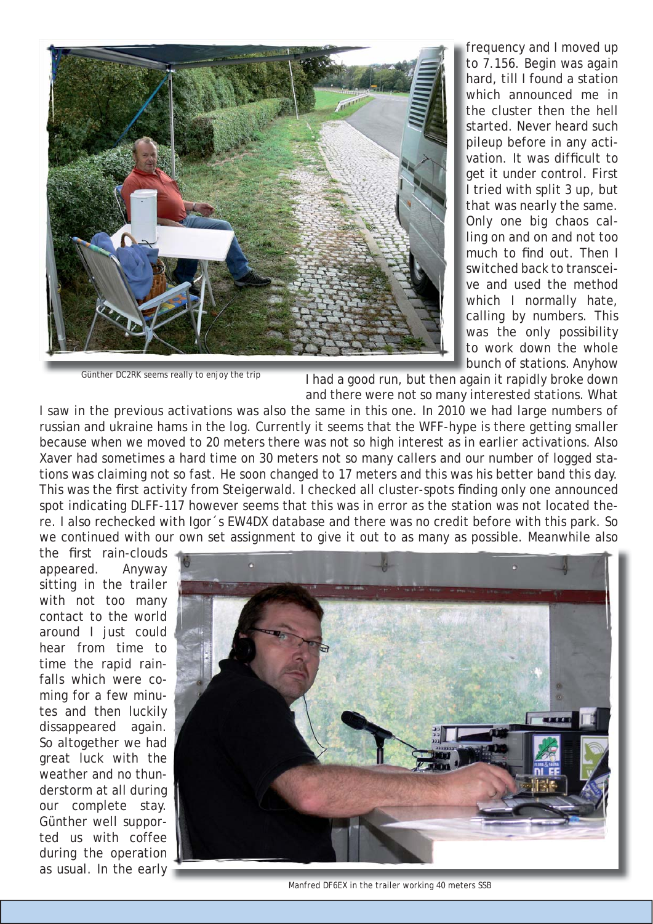

frequency and I moved up to 7.156. Begin was again hard, till I found a station which announced me in the cluster then the hell started. Never heard such pileup before in any activation. It was difficult to get it under control. First I tried with split 3 up, but that was nearly the same. Only one big chaos calling on and on and not too much to find out. Then I switched back to transceive and used the method which I normally hate, calling by numbers. This was the only possibility to work down the whole bunch of stations. Anyhow

Günther DC2RK seems really to enjoy the trip

I had a good run, but then again it rapidly broke down and there were not so many interested stations. What

I saw in the previous activations was also the same in this one. In 2010 we had large numbers of russian and ukraine hams in the log. Currently it seems that the WFF-hype is there getting smaller because when we moved to 20 meters there was not so high interest as in earlier activations. Also Xaver had sometimes a hard time on 30 meters not so many callers and our number of logged stations was claiming not so fast. He soon changed to 17 meters and this was his better band this day. This was the first activity from Steigerwald. I checked all cluster-spots finding only one announced spot indicating DLFF-117 however seems that this was in error as the station was not located there. I also rechecked with Igor´s EW4DX database and there was no credit before with this park. So we continued with our own set assignment to give it out to as many as possible. Meanwhile also

the first rain-clouds appeared. Anyway sitting in the trailer with not too many contact to the world around I just could hear from time to time the rapid rainfalls which were coming for a few minutes and then luckily dissappeared again. So altogether we had great luck with the weather and no thunderstorm at all during our complete stay. Günther well supported us with coffee during the operation as usual. In the early



Manfred DF6EX in the trailer working 40 meters SSB